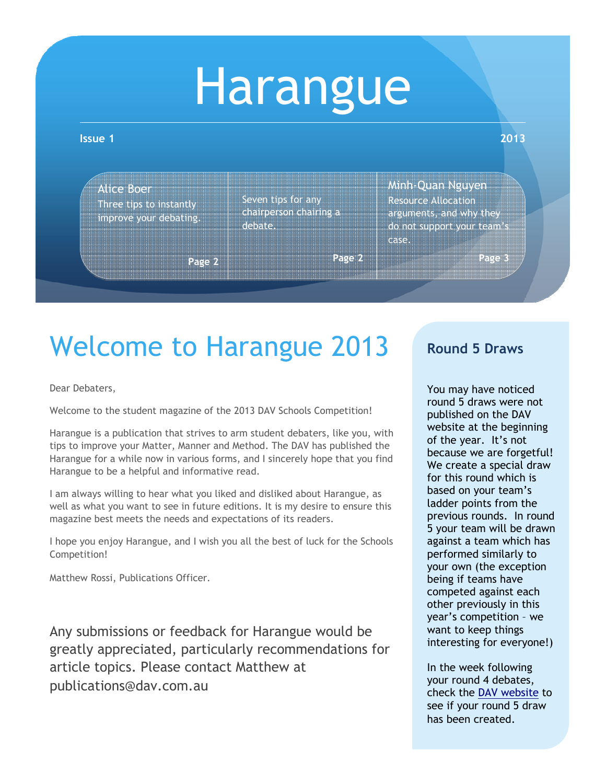## Harangue

#### **Issue 1 2013**

Alice Boer Three tips to instantly improve your debating.

Seven tips for any chairperson chairing a debate.

**Page 2**

Minh-Quan Nguyen Resource Allocation arguments, and why they do not support your team's case.

**Page 3**

### Welcome to Harangue 2013

**Page 2**

Dear Debaters,

Welcome to the student magazine of the 2013 DAV Schools Competition!

Harangue is a publication that strives to arm student debaters, like you, with tips to improve your Matter, Manner and Method. The DAV has published the Harangue for a while now in various forms, and I sincerely hope that you find Harangue to be a helpful and informative read.

I am always willing to hear what you liked and disliked about Harangue, as well as what you want to see in future editions. It is my desire to ensure this magazine best meets the needs and expectations of its readers.

I hope you enjoy Harangue, and I wish you all the best of luck for the Schools Competition!

Matthew Rossi, Publications Officer.

Any submissions or feedback for Harangue would be greatly appreciated, particularly recommendations for article topics. Please contact Matthew at publications@dav.com.au

#### **Round 5 Draws**

You may have noticed round 5 draws were not published on the DAV website at the beginning of the year. It's not because we are forgetful! We create a special draw for this round which is based on your team's ladder points from the previous rounds. In round 5 your team will be drawn against a team which has performed similarly to your own (the exception being if teams have competed against each other previously in this year's competition – we want to keep things interesting for everyone!)

In the week following your round 4 debates, check the DAV website to see if your round 5 draw has been created.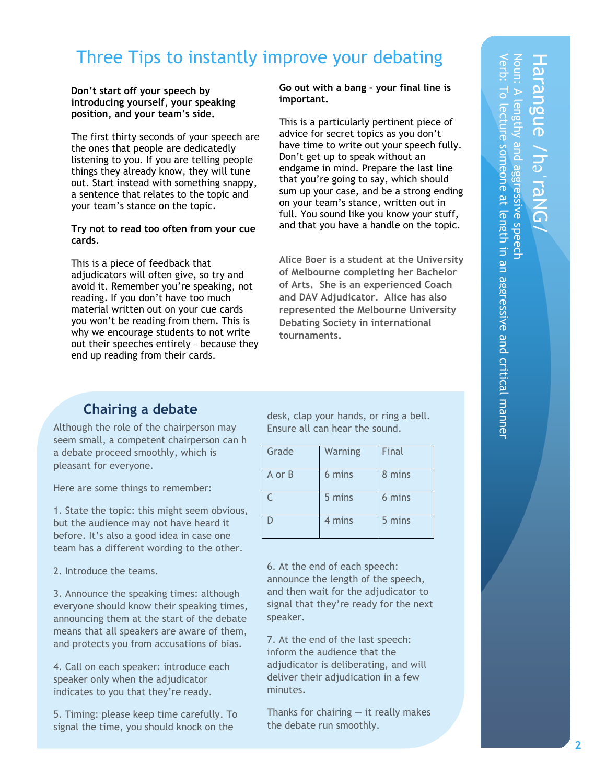#### Three Tips to instantly improve your debating

#### **Don't start off your speech by introducing yourself, your speaking position, and your team's side.**

The first thirty seconds of your speech are the ones that people are dedicatedly listening to you. If you are telling people things they already know, they will tune out. Start instead with something snappy, a sentence that relates to the topic and your team's stance on the topic.

#### **Try not to read too often from your cue cards.**

This is a piece of feedback that adjudicators will often give, so try and avoid it. Remember you're speaking, not reading. If you don't have too much material written out on your cue cards you won't be reading from them. This is why we encourage students to not write out their speeches entirely – because they end up reading from their cards.

**Go out with a bang – your final line is important.** 

This is a particularly pertinent piece of advice for secret topics as you don't have time to write out your speech fully. Don't get up to speak without an endgame in mind. Prepare the last line that you're going to say, which should sum up your case, and be a strong ending on your team's stance, written out in full. You sound like you know your stuff, and that you have a handle on the topic.

**Alice Boer is a student at the University of Melbourne completing her Bachelor of Arts. She is an experienced Coach and DAV Adjudicator. Alice has also represented the Melbourne University Debating Society in international tournaments.** 

# Harangue /h $\bm{\mathsf{\omega}}_{\scriptscriptstyle \perp}$ raNG/

Verb: To lecture someone at length in an aggressive

To lecture someone at length in an aggressive and critical manner

and critical manner

Noun: A lengthy and aggressive speech

aggressive speech

n: A lengtny and

#### **Chairing a debate**

Although the role of the chairperson may seem small, a competent chairperson can h a debate proceed smoothly, which is pleasant for everyone.

Here are some things to remember:

1. State the topic: this might seem obvious, but the audience may not have heard it before. It's also a good idea in case one team has a different wording to the other.

2. Introduce the teams.

3. Announce the speaking times: although everyone should know their speaking times, announcing them at the start of the debate means that all speakers are aware of them, and protects you from accusations of bias.

4. Call on each speaker: introduce each speaker only when the adjudicator indicates to you that they're ready.

5. Timing: please keep time carefully. To signal the time, you should knock on the

desk, clap your hands, or ring a bell. Ensure all can hear the sound.

| Grade  | Warning | Final  |
|--------|---------|--------|
| A or B | 6 mins  | 8 mins |
|        | 5 mins  | 6 mins |
|        | 4 mins  | 5 mins |

6. At the end of each speech: announce the length of the speech, and then wait for the adjudicator to signal that they're ready for the next speaker.

7. At the end of the last speech: inform the audience that the adjudicator is deliberating, and will deliver their adjudication in a few minutes.

Thanks for chairing  $-$  it really makes the debate run smoothly.